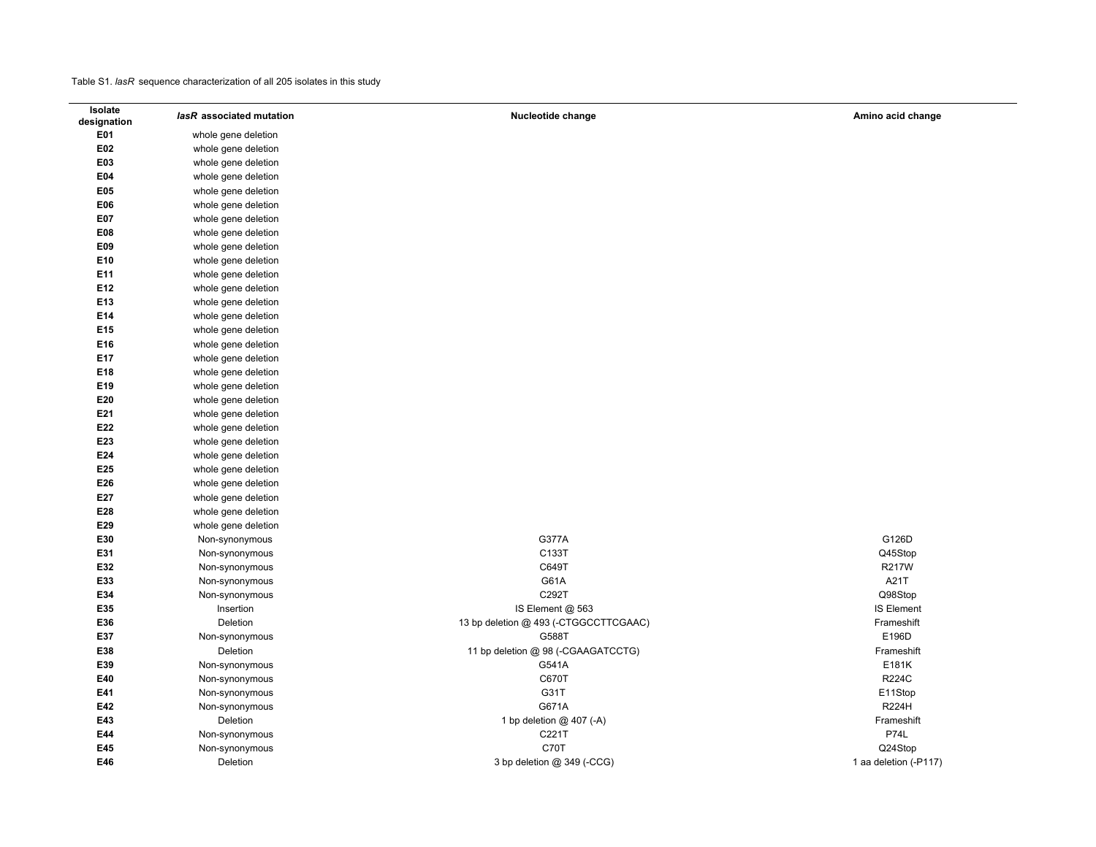$\overline{\phantom{0}}$ 

| Isolate     | lasR associated mutation | Nucleotide change                     | Amino acid change     |
|-------------|--------------------------|---------------------------------------|-----------------------|
| designation |                          |                                       |                       |
| E01         | whole gene deletion      |                                       |                       |
| E02         | whole gene deletion      |                                       |                       |
| E03         | whole gene deletion      |                                       |                       |
| E04         | whole gene deletion      |                                       |                       |
| E05         | whole gene deletion      |                                       |                       |
| E06         | whole gene deletion      |                                       |                       |
| E07         | whole gene deletion      |                                       |                       |
| E08         | whole gene deletion      |                                       |                       |
| E09         | whole gene deletion      |                                       |                       |
| E10         | whole gene deletion      |                                       |                       |
| E11         | whole gene deletion      |                                       |                       |
| E12         | whole gene deletion      |                                       |                       |
| E13         | whole gene deletion      |                                       |                       |
| E14         | whole gene deletion      |                                       |                       |
| E15         | whole gene deletion      |                                       |                       |
| E16         | whole gene deletion      |                                       |                       |
| E17         | whole gene deletion      |                                       |                       |
| E18         | whole gene deletion      |                                       |                       |
| E19         | whole gene deletion      |                                       |                       |
| E20         | whole gene deletion      |                                       |                       |
| E21         | whole gene deletion      |                                       |                       |
| E22         | whole gene deletion      |                                       |                       |
| E23         | whole gene deletion      |                                       |                       |
| E24         | whole gene deletion      |                                       |                       |
| E25         | whole gene deletion      |                                       |                       |
| E26         | whole gene deletion      |                                       |                       |
| E27         | whole gene deletion      |                                       |                       |
| E28         | whole gene deletion      |                                       |                       |
| E29         | whole gene deletion      |                                       |                       |
| E30         | Non-synonymous           | G377A                                 | G126D                 |
| E31         | Non-synonymous           | C133T                                 | Q45Stop               |
| E32         | Non-synonymous           | C649T                                 | R217W                 |
| E33         | Non-synonymous           | G61A                                  | A21T                  |
| E34         | Non-synonymous           | C292T                                 | Q98Stop               |
| E35         | Insertion                | IS Element @ 563                      | <b>IS Element</b>     |
| E36         | Deletion                 | 13 bp deletion @ 493 (-CTGGCCTTCGAAC) | Frameshift            |
| E37         | Non-synonymous           | G588T                                 | E196D                 |
| E38         | Deletion                 | 11 bp deletion @ 98 (-CGAAGATCCTG)    | Frameshift            |
| E39         | Non-synonymous           | G541A                                 | E181K                 |
| E40         | Non-synonymous           | C670T                                 | <b>R224C</b>          |
| E41         | Non-synonymous           | G31T                                  | E11Stop               |
| E42         | Non-synonymous           | G671A                                 | <b>R224H</b>          |
| E43         | Deletion                 | 1 bp deletion @ 407 (-A)              | Frameshift            |
| E44         | Non-synonymous           | C221T                                 | <b>P74L</b>           |
| E45         | Non-synonymous           | C70T                                  | Q24Stop               |
| E46         | Deletion                 | 3 bp deletion @ 349 (-CCG)            | 1 aa deletion (-P117) |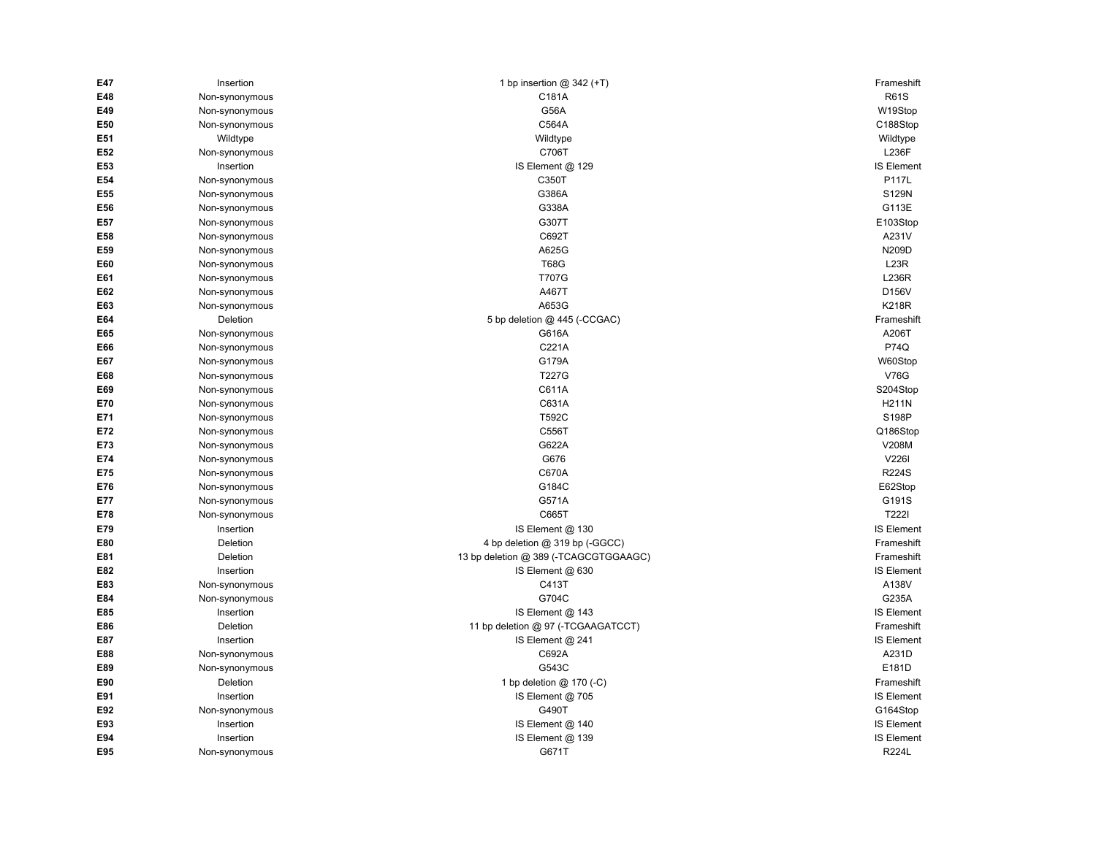| E47 | Insertion      | 1 bp insertion $@342 (+T)$            | Frameshift        |
|-----|----------------|---------------------------------------|-------------------|
| E48 | Non-synonymous | C181A                                 | <b>R61S</b>       |
| E49 | Non-synonymous | G56A                                  | W19Stop           |
| E50 | Non-synonymous | C564A                                 | C188Stop          |
| E51 | Wildtype       | Wildtype                              | Wildtype          |
| E52 | Non-synonymous | C706T                                 | <b>L236F</b>      |
| E53 | Insertion      | IS Element @ 129                      | <b>IS Element</b> |
| E54 | Non-synonymous | C350T                                 | P117L             |
| E55 | Non-synonymous | G386A                                 | S129N             |
| E56 | Non-synonymous | G338A                                 | G113E             |
| E57 | Non-synonymous | G307T                                 | E103Stop          |
| E58 | Non-synonymous | C692T                                 | A231V             |
| E59 | Non-synonymous | A625G                                 | N209D             |
| E60 | Non-synonymous | <b>T68G</b>                           | L23R              |
| E61 | Non-synonymous | <b>T707G</b>                          | <b>L236R</b>      |
| E62 | Non-synonymous | A467T                                 | D156V             |
| E63 | Non-synonymous | A653G                                 | <b>K218R</b>      |
| E64 | Deletion       | 5 bp deletion @ 445 (-CCGAC)          | Frameshift        |
| E65 | Non-synonymous | G616A                                 | A206T             |
| E66 | Non-synonymous | C221A                                 | P74Q              |
| E67 | Non-synonymous | G179A                                 | W60Stop           |
| E68 | Non-synonymous | T227G                                 | <b>V76G</b>       |
| E69 | Non-synonymous | C611A                                 | S204Stop          |
| E70 | Non-synonymous | C631A                                 | <b>H211N</b>      |
| E71 | Non-synonymous | T592C                                 | S198P             |
| E72 | Non-synonymous | C556T                                 | Q186Stop          |
| E73 | Non-synonymous | G622A                                 | V208M             |
| E74 | Non-synonymous | G676                                  | V2261             |
| E75 | Non-synonymous | C670A                                 | <b>R224S</b>      |
| E76 | Non-synonymous | G184C                                 | E62Stop           |
| E77 | Non-synonymous | G571A                                 | G191S             |
| E78 | Non-synonymous | C665T                                 | <b>T222I</b>      |
| E79 | Insertion      | IS Element @ 130                      | <b>IS Element</b> |
| E80 | Deletion       | 4 bp deletion @ 319 bp (-GGCC)        | Frameshift        |
| E81 | Deletion       | 13 bp deletion @ 389 (-TCAGCGTGGAAGC) | Frameshift        |
| E82 | Insertion      | IS Element @ 630                      | <b>IS Element</b> |
| E83 | Non-synonymous | C413T                                 | A138V             |
| E84 | Non-synonymous | G704C                                 | G235A             |
| E85 | Insertion      | IS Element @ 143                      | <b>IS Element</b> |
| E86 | Deletion       | 11 bp deletion @ 97 (-TCGAAGATCCT)    | Frameshift        |
| E87 | Insertion      | IS Element @ 241                      | <b>IS Element</b> |
| E88 | Non-synonymous | C692A                                 | A231D             |
| E89 | Non-synonymous | G543C                                 | E181D             |
| E90 | Deletion       | 1 bp deletion @ 170 (-C)              | Frameshift        |
| E91 | Insertion      | IS Element @ 705                      | <b>IS Element</b> |
| E92 | Non-synonymous | G490T                                 | G164Stop          |
| E93 | Insertion      | IS Element @ 140                      | <b>IS Element</b> |
| E94 | Insertion      | IS Element @ 139                      | IS Element        |
| E95 | Non-synonymous | G671T                                 | <b>R224L</b>      |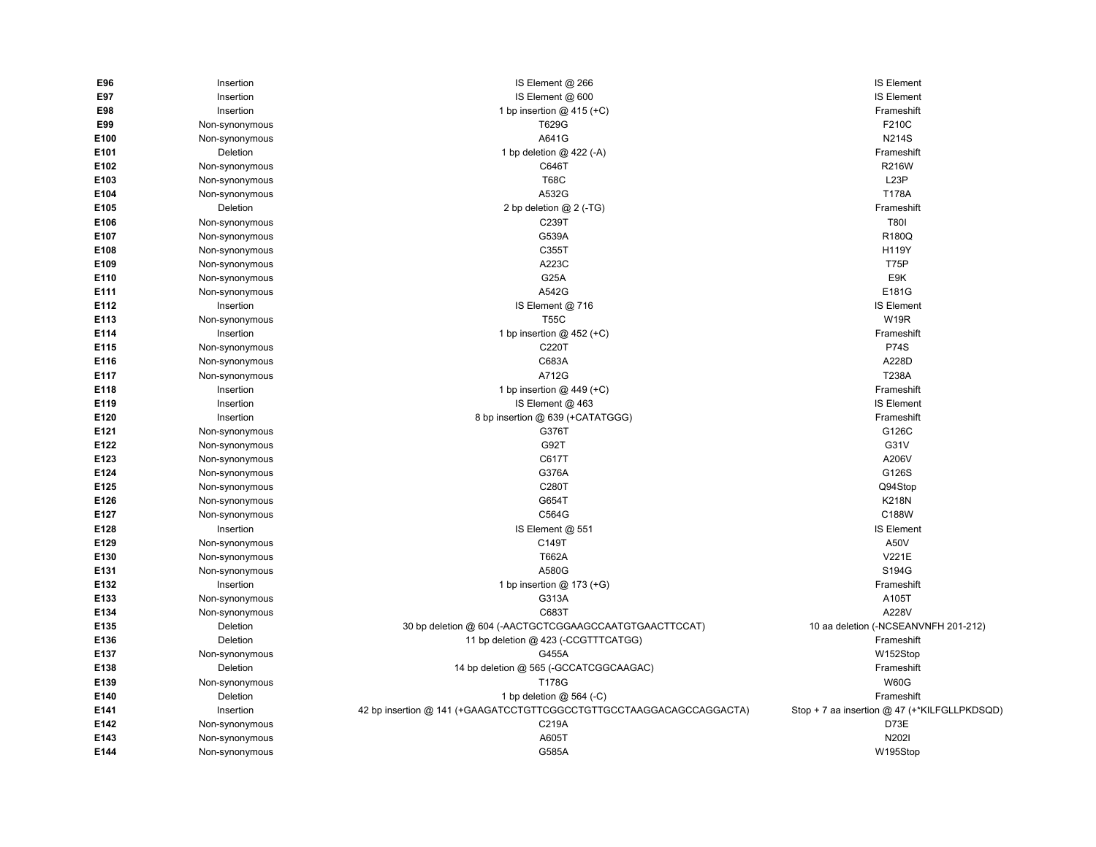| E96              | Insertion      | IS Element @ 266                                                    | <b>IS Element</b>                            |
|------------------|----------------|---------------------------------------------------------------------|----------------------------------------------|
| E97              | Insertion      | IS Element @ 600                                                    | <b>IS Element</b>                            |
| E98              | Insertion      | 1 bp insertion $@$ 415 (+C)                                         | Frameshift                                   |
| E99              | Non-synonymous | T629G                                                               | F210C                                        |
| E100             | Non-synonymous | A641G                                                               | <b>N214S</b>                                 |
| E101             | Deletion       | 1 bp deletion @ 422 (-A)                                            | Frameshift                                   |
| E102             | Non-synonymous | C646T                                                               | <b>R216W</b>                                 |
| E103             | Non-synonymous | <b>T68C</b>                                                         | L <sub>23</sub> P                            |
| E104             | Non-synonymous | A532G                                                               | T178A                                        |
| E105             | Deletion       | 2 bp deletion @ 2 (-TG)                                             | Frameshift                                   |
| E106             | Non-synonymous | C239T                                                               | <b>T801</b>                                  |
| E107             | Non-synonymous | G539A                                                               | R180Q                                        |
| E108             | Non-synonymous | C355T                                                               | H119Y                                        |
| E109             | Non-synonymous | A223C                                                               | <b>T75P</b>                                  |
| E110             | Non-synonymous | G <sub>25</sub> A                                                   | E9K                                          |
| E111             | Non-synonymous | A542G                                                               | E181G                                        |
| E112             | Insertion      | IS Element @ 716                                                    | <b>IS Element</b>                            |
| E113             | Non-synonymous | <b>T55C</b>                                                         | W <sub>19R</sub>                             |
| E114             | Insertion      | 1 bp insertion $@$ 452 (+C)                                         | Frameshift                                   |
| E115             | Non-synonymous | C220T                                                               | <b>P74S</b>                                  |
| E116             | Non-synonymous | C683A                                                               | A228D                                        |
| E117             | Non-synonymous | A712G                                                               | T238A                                        |
| E118             | Insertion      | 1 bp insertion $@$ 449 (+C)                                         | Frameshift                                   |
| E119             | Insertion      | IS Element @ 463                                                    | <b>IS Element</b>                            |
| E120             | Insertion      | 8 bp insertion @ 639 (+CATATGGG)                                    | Frameshift                                   |
| E121             | Non-synonymous | G376T                                                               | G126C                                        |
| E122             | Non-synonymous | G92T                                                                | G31V                                         |
| E123             | Non-synonymous | C617T                                                               | A206V                                        |
| E124             | Non-synonymous | G376A                                                               | G126S                                        |
| E <sub>125</sub> | Non-synonymous | C280T                                                               | Q94Stop                                      |
| E126             | Non-synonymous | G654T                                                               | <b>K218N</b>                                 |
| E127             | Non-synonymous | C564G                                                               | C188W                                        |
| E128             | Insertion      | IS Element @ 551                                                    | <b>IS Element</b>                            |
| E129             | Non-synonymous | C149T                                                               | A50V                                         |
| E130             | Non-synonymous | T662A                                                               | V221E                                        |
| E <sub>131</sub> | Non-synonymous | A580G                                                               | S194G                                        |
| E132             | Insertion      | 1 bp insertion @ 173 (+G)                                           | Frameshift                                   |
| E133             | Non-synonymous | G313A                                                               | A105T                                        |
| E134             | Non-synonymous | C683T                                                               | A228V                                        |
| E135             | Deletion       | 30 bp deletion @ 604 (-AACTGCTCGGAAGCCAATGTGAACTTCCAT)              | 10 aa deletion (-NCSEANVNFH 201-212)         |
| E136             | Deletion       | 11 bp deletion @ 423 (-CCGTTTCATGG)                                 | Frameshift                                   |
| E137             | Non-synonymous | G455A                                                               | W152Stop                                     |
| E138             | Deletion       | 14 bp deletion @ 565 (-GCCATCGGCAAGAC)                              | Frameshift                                   |
| E139             | Non-synonymous | T178G                                                               | <b>W60G</b>                                  |
| E140             | Deletion       | 1 bp deletion @ 564 (-C)                                            | Frameshift                                   |
| E141             | Insertion      | 42 bp insertion @ 141 (+GAAGATCCTGTTCGGCCTGTTGCCTAAGGACAGCCAGGACTA) | Stop + 7 aa insertion @ 47 (+*KILFGLLPKDSQD) |
| E142             | Non-synonymous | C219A                                                               | D73E                                         |
| E143             | Non-synonymous | A605T                                                               | N2021                                        |
| E144             | Non-synonymous | G585A                                                               | W195Stop                                     |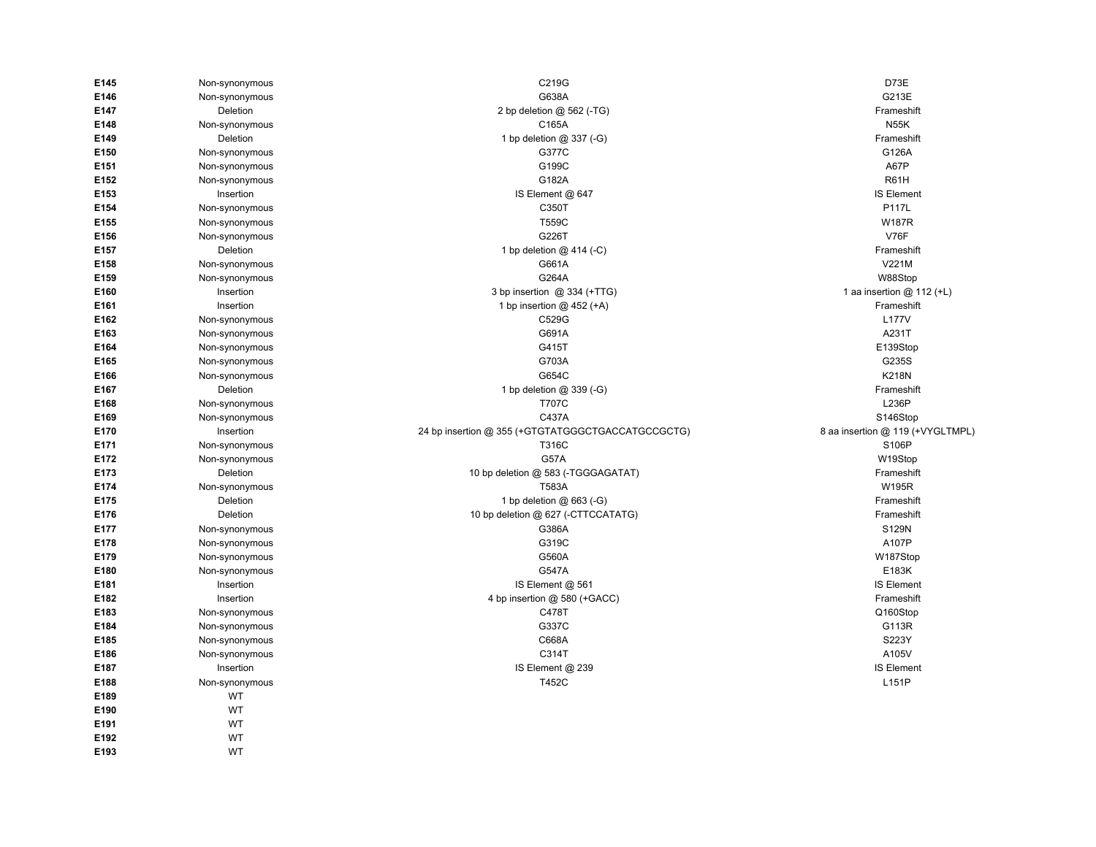| E145 | Non-synonymous | C219G                                             | D73E                             |
|------|----------------|---------------------------------------------------|----------------------------------|
| E146 | Non-synonymous | G638A                                             | G213E                            |
| E147 | Deletion       | 2 bp deletion @ 562 (-TG)                         | Frameshift                       |
| E148 | Non-synonymous | C165A                                             | <b>N55K</b>                      |
| E149 | Deletion       | 1 bp deletion @ 337 (-G)                          | Frameshift                       |
| E150 | Non-synonymous | G377C                                             | G126A                            |
| E151 | Non-synonymous | G199C                                             | A67P                             |
| E152 | Non-synonymous | G182A                                             | R61H                             |
| E153 | Insertion      | IS Element @ 647                                  | <b>IS Element</b>                |
| E154 | Non-synonymous | C350T                                             | <b>P117L</b>                     |
| E155 | Non-synonymous | T559C                                             | <b>W187R</b>                     |
| E156 | Non-synonymous | G226T                                             | <b>V76F</b>                      |
| E157 | Deletion       | 1 bp deletion @ 414 (-C)                          | Frameshift                       |
| E158 | Non-synonymous | G661A                                             | V221M                            |
| E159 | Non-synonymous | G264A                                             | W88Stop                          |
| E160 | Insertion      | 3 bp insertion @ 334 (+TTG)                       | 1 aa insertion @ 112 (+L)        |
| E161 | Insertion      | 1 bp insertion $@$ 452 (+A)                       | Frameshift                       |
| E162 | Non-synonymous | C529G                                             | <b>L177V</b>                     |
| E163 | Non-synonymous | G691A                                             | A231T                            |
| E164 | Non-synonymous | G415T                                             | E139Stop                         |
| E165 | Non-synonymous | G703A                                             | G235S                            |
| E166 | Non-synonymous | G654C                                             | <b>K218N</b>                     |
| E167 | Deletion       | 1 bp deletion @ 339 (-G)                          | Frameshift                       |
| E168 | Non-synonymous | <b>T707C</b>                                      | L236P                            |
| E169 | Non-synonymous | C437A                                             | S146Stop                         |
| E170 | Insertion      | 24 bp insertion @ 355 (+GTGTATGGGCTGACCATGCCGCTG) | 8 aa insertion @ 119 (+VYGLTMPL) |
| E171 | Non-synonymous | T316C                                             | S106P                            |
| E172 | Non-synonymous | <b>G57A</b>                                       | W19Stop                          |
| E173 | Deletion       | 10 bp deletion @ 583 (-TGGGAGATAT)                | Frameshift                       |
| E174 | Non-synonymous | T583A                                             | <b>W195R</b>                     |
| E175 | Deletion       | 1 bp deletion @ 663 (-G)                          | Frameshift                       |
| E176 | Deletion       | 10 bp deletion @ 627 (-CTTCCATATG)                | Frameshift                       |
| E177 | Non-synonymous | G386A                                             | S129N                            |
| E178 | Non-synonymous | G319C                                             | A107P                            |
| E179 | Non-synonymous | G560A                                             | W187Stop                         |
| E180 | Non-synonymous | G547A                                             | E183K                            |
| E181 | Insertion      | IS Element @ 561                                  | <b>IS Element</b>                |
| E182 | Insertion      | 4 bp insertion @ 580 (+GACC)                      | Frameshift                       |
| E183 | Non-synonymous | C478T                                             | Q160Stop                         |
| E184 | Non-synonymous | G337C                                             | G113R                            |
| E185 | Non-synonymous | C668A                                             | S223Y                            |
| E186 | Non-synonymous | C314T                                             | A105V                            |
| E187 | Insertion      | IS Element @ 239                                  | <b>IS Element</b>                |
| E188 | Non-synonymous | T452C                                             | L151P                            |
| E189 | WT             |                                                   |                                  |
| E190 | WT             |                                                   |                                  |
| E191 | WT             |                                                   |                                  |
| E192 | WT             |                                                   |                                  |
| E193 | WT             |                                                   |                                  |
|      |                |                                                   |                                  |